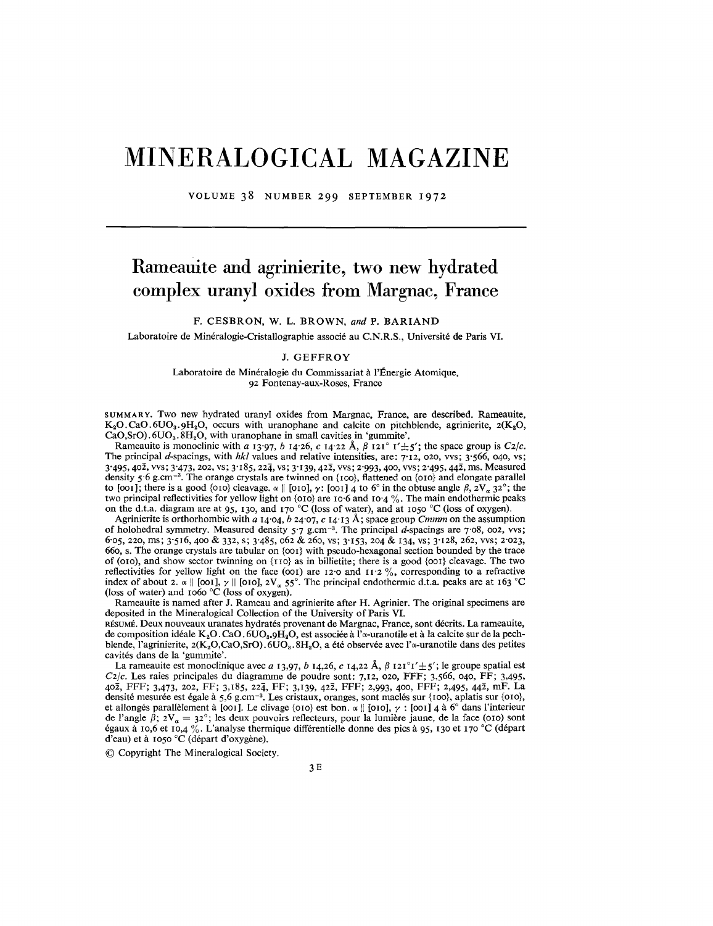# **MINERALOGICAL MAGAZINE**

VOLUME 38 NUMBER 299 SEPTEMBER 1972

## **Rameauite and agrinierite, two new hydrated complex uranyl oxides from Margnac, France**

F. CESBRON, W. L. BROWN, *and* P. BARIAND

Laboratoire de Minéralogie-Cristallographie associé au C.N.R.S., Université de Paris VI.

### J. GEFFROY

Laboratoire de Minéralogie du Commissariat à l'Énergie Atomique, 92 Fontenay-aux-Roses, France

SUMMARY. Two new hydrated uranyl oxides from Margnac, France, are described. Rameauite,  $K_2O$ , CaO, 6UO<sub>3</sub>, 9H<sub>2</sub>O, occurs with uranophane and calcite on pitchblende, agrinierite, 2(K<sub>2</sub>O,  $CaO, SrO)$ .  $6UO<sub>3</sub>$ .  $8H<sub>2</sub>O$ , with uranophane in small cavities in 'gummite'.

Rameauite is monoclinic with *a* 13.97, *b* 14.26, *c* 14.22 Å,  $\beta$  121° 1' $\pm$ 5'; the space group is *C2/c.* The principal d-spacings, with *hkl* values and relative intensities, are: 7'12, 020, vvs; 3'566, 040, vs; 3'495,402, vvs; 3'473, 202, vs; 3'185, 224, vs; 3'139, 422, vvs; 2'993, 400, vvs; 2'495, 442, ms. Measured density 5.6 g,cm<sup>-3</sup>. The orange crystals are twinned on {100}, flattened on {010} and elongate parallel to [001]; there is a good {010} cleavage.  $\alpha \parallel$  [010],  $\gamma$ : [001] 4 to 6° in the obtuse angle  $\beta$ ,  $2V_{\alpha}$ ,  $32^{\circ}$ ; the two principal reflectivities for yellow light on  $\{0.00\}$  are 10.6 and 10.4 %. The main endothermic peaks on the d.t,a. diagram are at 95, 130, and 170°C (loss of water), and at 1050 °C (loss of oxygen).

Agrinierite is orthorhombic with *a* 14.04, *b* 24.07, *c* 14.13 Å; space group *Cmmm* on the assumptic of holohedral symmetry. Measured density  $5.7$  g.cm<sup>-3</sup>. The principal *d*-spacings are  $7.08$ , 002, vvs 6'05,220, ms; 3'516,400 & 332, s; 3'485,062 & 260, vs; 3'153, 204 & 134, vs; 3'128, 262, vvs; 2'023, 660, s. The orange crystals are tabular on {001} with pseudo-hexagonal section bounded by the trace of (010), and show sector twinning on {IIO} as in bilIietite; there is a good {001} cleavage. The two reflectivities for yellow light on the face (001) are 12.0 and II.2 %, corresponding to a refractive index of about 2.  $\alpha$  || [001],  $\gamma$  || [010],  $2V_{\alpha}$  55°. The principal endothermic d.t.a. peaks are at 163 °C (loss of water) and 1060 °C (loss of oxygen).

Rameauite is named after J. Rameau and agrinierite after H. Agrinier. The original specimens are deposited in the Mineralogical Collection of the University of Paris VI.

RÉSUMÉ, Deux nouveaux uranates hydratés provenant de Margnac, France, sont décrits. La rameauite, de composition idéale K<sub>2</sub>O. CaO. 6UO<sub>3</sub>.9H<sub>2</sub>O, est associée à l' $\alpha$ -uranotile et à la calcite sur de la pechblende, l'agrinierite,  $2(K_2O, CaO, SrO)$ . 6UO<sub>3</sub>. 8H<sub>2</sub>O, a été observée avec l' $\alpha$ -uranotile dans des petites cavites dans de la 'gummite'.

La rameauite est monoclinique avec *a* 13,97, *b* 14,26, *c* 14,22 Å,  $\beta$  121<sup>°</sup>1' ±5'; le groupe spatial est *C2/C.* Les raies principales du diagramme de poudre sont: 7,12, 020, FFF; 3,566, 040, FF; 3,495, 402, FFF; 3,473, 202, FF; 3,185, 224, FF; 3,139,422, FFF; 2,993, 400, FFF; 2,495, 442, mF. La densité mesurée est égale à 5,6 g.cm<sup>-3</sup>. Les cristaux, oranges, sont maclés sur {100}, aplatis sur {010} et allongés parallèlement à [001]. Le clivage {010} est bon.  $\alpha$  || [010],  $\gamma$  : [001] 4 à 6° dans l'interieur de l'angle  $\beta$ ; 2V<sub>a</sub> = 32°; les deux pouvoirs reflecteurs, pour la lumière jaune, de la face (010) son<br>égaux à 10,6 et 10,4 %. L'analyse thermique différentielle donne des pics à 95, 130 et 170 °C (dépar d'eau) et à 1050 °C (départ d'oxygène).

@ Copyright The Mineralogical Society.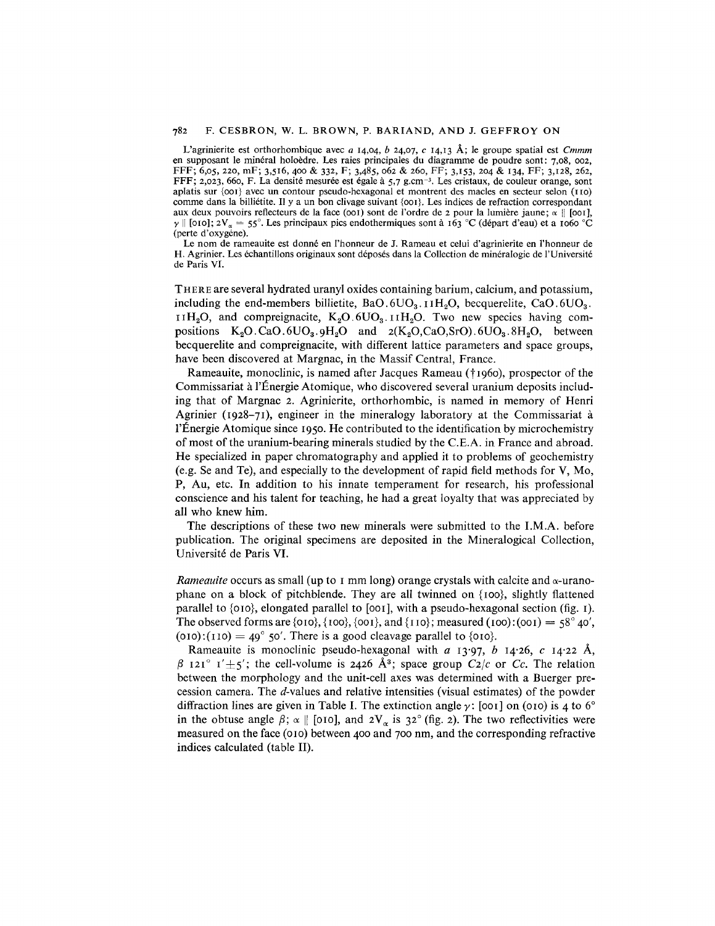### 782 F. CESBRON, W. L. BROWN, P. BARIAND, AND J. GEFFROY ON

L'agrinierite est orthorhombique avec *a* 14,04, *b* 24,07, c 14,13 A; Ie groupe spatial est *Cmmm* en supposant le minéral holoèdre. Les raies principales du diagramme de poudre sont: 7,08, 002, FFF; 6,05, 220, mF; 3,516, 400 & 332, F; 3,485,062 & 260, FF; 3,153, 204 & 134, FF; 3,128, 262, FFF; 2,023, 660, F. La densité mesurée est égale à 5,7 g.cm<sup>-3</sup>. Les cristaux, de couleur orange, sont aplatis sur {DOl} avec un contour pseudo-hexagonal et montrent des macles en secteur selon (110) comme dans la billiétite. Il y a un bon clivage suivant {001}. Les indices de refraction correspondant aux deux pouvoirs reflecteurs de la face (001) sont de l'ordre de 2 pour la lumière jaune;  $\alpha \parallel$  [001],  $\gamma$  || [010]; 2V<sub>a</sub> = 55°. Les principaux pics endothermiques sont à 163 °C (départ d'eau) et a 1060 °C (perte d'oxygéne).

Le nom de rameauite est donné en l'honneur de J. Rameau et celui d'agrinierite en l'honneur de H. Agrinier. Les échantillons originaux sont déposés dans la Collection de minéralogie de l'Université de Paris VI.

THERE are severa] hydrated uranyl oxides containing barium, calcium, and potassium, including the end-members billietite, BaO.  $6UO_3$ .  $I1H_2O$ , becquerelite, CaO.  $6UO_3$ .  $I I H<sub>2</sub>O$ , and compreignacite,  $K<sub>2</sub>O. 6UO<sub>3</sub>. I I H<sub>2</sub>O$ . Two new species having compositions  $K_2O$ .CaO.6UO<sub>3</sub>.9H<sub>2</sub>O and  $2(K_2O, CaO, SrO)$ .6UO<sub>3</sub>.8H<sub>2</sub>O, between becquerelite and compreignacite, with different lattice parameters and space groups, have been discovered at Margnac, in the Massif Central, France.

Rameauite, monoclinic, is named after Jacques Rameau (†1960), prospector of the Commissariat a l'Energie Atomique, who discovered several uranium deposits including that of Margnac 2. Agrinierite, orthorhombic, is named in memory of Henri Agrinier (1928-71), engineer in the mineralogy laboratory at the Commissariat a I'Energie Atomique since 1950. He contributed to the identification by microchemistry of most of the uranium-bearing minerals studied by the C.E.A. in France and abroad. He specialized in paper chromatography and applied it to problems of geochemistry (e.g. Se and Te), and especially to the development of rapid field methods for V, Mo, P, Au, etc. In addition to his innate temperament for research, his professional conscience and his talent for teaching, he had a great loyalty that was appreciated by all who knew him.

The descriptions of these two new minerals were submitted to the I.M.A. before publication. The original specimens are deposited in the Mineralogical Collection, Universite de Paris VI.

*Rameauite* occurs as small (up to I mm long) orange crystals with calcite and  $\alpha$ -uranophane on a block of pitchblende. They are all twinned on {100}, slightly flattened parallel to {oro}, elongated parallel to [001], with a pseudo-hexagonal section (fig. I), The observed forms are {010}, {100}, {001}, and {110}; measured (100): (001) =  $58^{\circ}$  40', (010):(110) = 49° 50'. There is a good cleavage parallel to {010}.

Rameauite is monoclinic pseudo-hexagonal with *a* 13'97, *b* 14'26, e 14'22 A,  $\beta$  121° 1'+5'; the cell-volume is 2426  $\AA$ <sup>3</sup>; space group *C2/c* or *Cc*. The relation between the morphology and the unit-cell axes was determined with a Buerger precession camera, The d-values and relative intensities (visual estimates) of the powder diffraction lines are given in Table I. The extinction angle  $\gamma$ : [001] on (010) is 4 to 6° in the obtuse angle  $\beta$ ;  $\alpha \parallel$  [010], and  $2V_{\alpha}$  is 32° (fig. 2). The two reflectivities were measured on the face (oro) between 400 and 700 nm, and the corresponding refractive indices calculated (table II).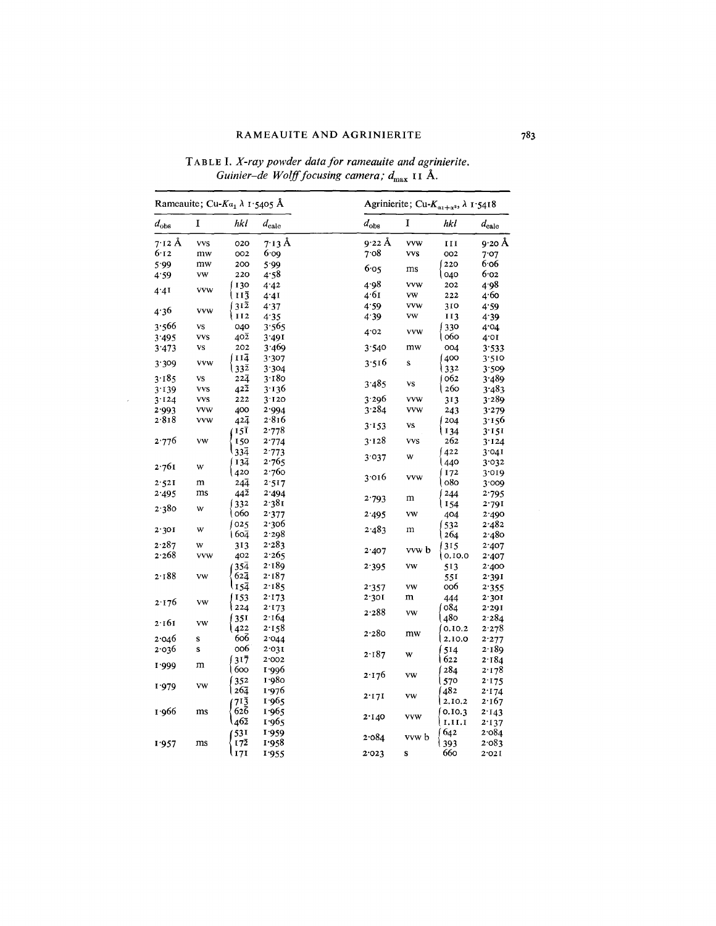| Rameauite; Cu- $Ka_1 \lambda$ 1.5405 Å |            |                    | Agrinierite; Cu- $K_{\alpha_1+\alpha^2}$ , $\lambda$ 1.5418 |               |            |            |                |  |  |
|----------------------------------------|------------|--------------------|-------------------------------------------------------------|---------------|------------|------------|----------------|--|--|
| $d_{\rm obs}$                          | 1          | hkl                | $d_{\rm calc}$                                              | $d_{\rm obs}$ | I          | hkl        | $d_{\rm calc}$ |  |  |
| $7.12 \text{ Å}$                       | <b>VVS</b> | 020                | 7.13 Å                                                      | 9.22 Å        | <b>vvw</b> | II         | 9.20 Å         |  |  |
| 6.12                                   | mw         | 002                | 6.09                                                        | 7.08          | <b>VVS</b> | 002        | 7.07           |  |  |
| 5.99                                   | mw         | 200                | 5.99                                                        |               |            | 220        | 6.06           |  |  |
| 4.59                                   | <b>VW</b>  | 220                | 4.58                                                        | 6.05          | ms         | 040        | 6.02           |  |  |
|                                        |            | 130                | 4.42                                                        | 4.98          | <b>vvw</b> | 202        | 4.98           |  |  |
| 4.41                                   | <b>VVW</b> | 113                | 4.4I                                                        | 4.61          | VW         | 222        | 4.60           |  |  |
|                                        |            | $31\overline{2}$   | 4.37                                                        | 4.59          | <b>VVW</b> | 310        | 4.59           |  |  |
| 4.36                                   | <b>VVW</b> | II <sub>2</sub>    | 4.35                                                        | 4.39          | VW         | 113        | 4.39           |  |  |
| 3.566                                  | vs         | 040                | 3.565                                                       |               |            | 330        | 4.04           |  |  |
| 3.495                                  | <b>VVS</b> | 402                | 3.49I                                                       | 4.02          | <b>VVW</b> | 060        | 4.01           |  |  |
| 3.473                                  | ٧s         | 202                | 3.469                                                       | 3.540         | mw         | 004        | 3.533          |  |  |
|                                        |            | $II\bar{4}$        | 3.307                                                       |               |            | 400        | 3.510          |  |  |
| 3.309                                  | <b>VVW</b> | 33 <sup>2</sup>    | 3.304                                                       | 3.516         | S          | 332        | 3.509          |  |  |
| 3.185                                  | VS         | 224                | 3.180                                                       |               |            | 062        | 3.489          |  |  |
| 3.139                                  | <b>VVS</b> | $42\overline{2}$   | 3.136                                                       | 3.485         | VS         | 260        | 3.483          |  |  |
| 3.124                                  | <b>VVS</b> | 222                | 3.120                                                       | 3.296         | <b>VVW</b> | 313        | 3.289          |  |  |
| 2.993                                  | vvw        | 400                | 2.994                                                       | 3.284         | <b>VVW</b> | 243        | 3.279          |  |  |
| 2.818                                  | <b>vvw</b> | 424                | 2.816                                                       |               |            | 204        | 3.156          |  |  |
|                                        |            | 15Ī                | 2.778                                                       | 3.153         | VS         | 134        |                |  |  |
| 2.776                                  | <b>VW</b>  | <b>150</b>         | 2.774                                                       | 3.128         | <b>VVS</b> | 262        | 3.151          |  |  |
|                                        |            | 334                | 2.773                                                       |               |            | 422        | 3.124<br>3.041 |  |  |
|                                        |            |                    |                                                             | 3.037         | W          |            |                |  |  |
| 2.761                                  | W          | $13\bar{4}$<br>420 | 2.765<br>2.760                                              |               |            | 440        | 3.032          |  |  |
|                                        |            |                    |                                                             | 3.016         | <b>VVW</b> | 172<br>080 | 3.019          |  |  |
| 2.521                                  | m          | 24ā                | 2.517                                                       |               |            |            | 3.009          |  |  |
| 2.495                                  | ms         | 44 <sup>2</sup>    | 2.494                                                       | 2.793         | m          | 244        | 2.795          |  |  |
| 2.380                                  | W          | 332<br>обо         | 2.381                                                       |               |            | 154        | 2.79I          |  |  |
|                                        |            |                    | 2.377                                                       | 2.495         | VW         | 404        | 2.490          |  |  |
| 2.301                                  | W          | 025                | 2.306                                                       | 2.483         | m          | 532        | 2.482          |  |  |
|                                        |            | 604                | 2.298                                                       |               |            | 264        | 2.480          |  |  |
| 2.287                                  | W          | 313                | 2.283                                                       | 2.407         | vvw b      | 315        | 2.407          |  |  |
| 2.268                                  | <b>vvw</b> | 402                | 2.265                                                       |               |            | 0.10.0     | 2.407          |  |  |
|                                        |            | 354                | 2.189                                                       | 2.395         | VW         | 513        | 2.400          |  |  |
| 2.188                                  | vw         | 624                | 2.187                                                       |               |            | 551        | 2.39I          |  |  |
|                                        |            | $15\overline{4}$   | 2.185                                                       | 2.357         | VW         | 006        | 2.355          |  |  |
| 2.176                                  | VW         | 153                | 2.173                                                       | 2.301         | m          | 444        | 2.301          |  |  |
|                                        |            | 224                | 2.173                                                       | 2.288         | vw         | 084        | 2.291          |  |  |
| 2-161                                  | vw         | 351                | 2.164                                                       |               |            | 480        | 2.284          |  |  |
|                                        |            | 422                | 2.158                                                       | 2.280         | mw         | 0.10.2     | 2.278          |  |  |
| 2.046                                  | S          | 606                | 2.044                                                       |               |            | 2.10.0     | 2.277          |  |  |
| 2.036                                  | s          | 006                | 2.031                                                       | 2.187         | W          | 514        | 2.189          |  |  |
| I.999                                  | m          | 317                | 2.002                                                       |               |            | 622        | 2.184          |  |  |
|                                        |            | 600                | I 996                                                       | 2.176         | VW         | 284        | 2.178          |  |  |
| 1.979                                  | vw         | 352                | 1.980                                                       |               |            | 570        | 2.175          |  |  |
|                                        |            | 264                | 1.976                                                       | 2.171         | VW         | 482        | 2.174          |  |  |
|                                        |            | 713                | 1.965                                                       |               |            | 2.10.2     | 2.167          |  |  |
| 1.966                                  | ms         | 626                | 1.965                                                       | 2.140         | <b>vyw</b> | 0.10.3     | 2.143          |  |  |
|                                        |            | $46\overline{2}$   | 1.965                                                       |               |            | I.II.I     | 2.137          |  |  |
|                                        |            | 531                | 1.959                                                       | 2.084         | vvw b      | 642        | 2.084          |  |  |
| 1.957                                  | ms         | I 72               | 1.958                                                       |               |            | 393        | 2.083          |  |  |
|                                        |            | l 171              | 1.955                                                       | 2.023         | S          | 660        | 2.021          |  |  |

 $\mathcal{A}^{\mathcal{A}}$ 

TABLE I. *X*-ray powder data for rameauite and agrinierite.<br>Guinier-de Wolff focusing camera;  $d_{\text{max}}$  11 Å.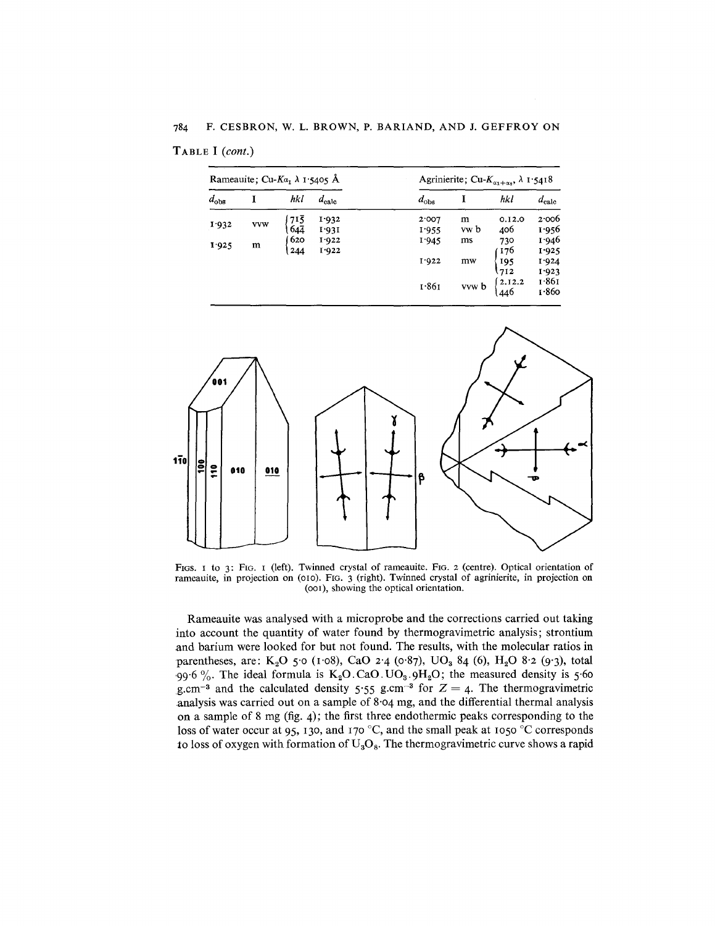<sup>784</sup> F. CESBRON, W, L. BROWN, p, BARIAND, AND J. GEFFROY ON

| $\Gamma$ ABLE I (cont.) |  |
|-------------------------|--|
|-------------------------|--|

|               | Rameauite; Cu-Ka, $\lambda$ 1.5405 Å |     |                | Agrinierite; Cu- $K_{\alpha_1+\alpha_2}$ , $\lambda$ 1.5418 |       |        |                |  |  |
|---------------|--------------------------------------|-----|----------------|-------------------------------------------------------------|-------|--------|----------------|--|--|
| $d_{\rm obs}$ |                                      | hkl | $d_{\rm calc}$ | $d_{\rm obs}$                                               |       | hkl    | $d_{\rm calc}$ |  |  |
|               | <b>VVW</b>                           | 715 | 1.932          | 2.007                                                       | m     | 0.12.0 | 2.006          |  |  |
| 1.932         |                                      | 644 | I.93I          | 1.955                                                       | yw b  | 406    | 1.956          |  |  |
|               | m                                    | 620 | 1.922          | 1.945                                                       | ms    | 730    | 1.946          |  |  |
| 1.925         |                                      | 244 | 1.922          |                                                             |       | 176    | 1.925          |  |  |
|               |                                      |     |                | 1.922                                                       | mw    | 195    | 1.924          |  |  |
|               |                                      |     |                |                                                             |       | 712    | 1.923          |  |  |
|               |                                      |     |                | 1.861                                                       | vyw b | 2.12.2 | 1.861          |  |  |
|               |                                      |     |                |                                                             |       | 446    | 1.860          |  |  |



FIGs. I to 3: FIG, I (left), Twinned crystal of rameauite, FIG, 2 (centre), Optical orientation of rameauite, in projection on (010). FIG, 3 (right). Twinned crystal of agrinierite, in projection on (001), showing the optical orientation.

Rameauite was analysed with a microprobe and the corrections carried out taking into account the quantity of water found by thermogravimetric analysis; strontium and barium were looked for but not found, The results, with the molecular ratios in parentheses, are: K<sub>2</sub>O 5.0 (1.08), CaO 2.4 (0.87), UO<sub>3</sub> 84 (6), H<sub>2</sub>O 8.2 (9.3), total 99.6%. The ideal formula is  $K_2O$ . CaO.  $\overrightarrow{UQ}_3$ .  $\overrightarrow{H}_2O$ ; the measured density is 5.60 g.cm<sup>-3</sup> and the calculated density 5.55 g.cm<sup>-3</sup> for  $Z = 4$ . The thermogravimetric analysis was carried out on a sample of 8'04 mg, and the differential thermal analysis on a sample of 8 mg (fig. 4); the first three endothermic peaks corresponding to the loss of water occur at 95, 130, and 170 °C, and the small peak at 1050 °C corresponds to loss of oxygen with formation of  $U_aO_8$ . The thermogravimetric curve shows a rapid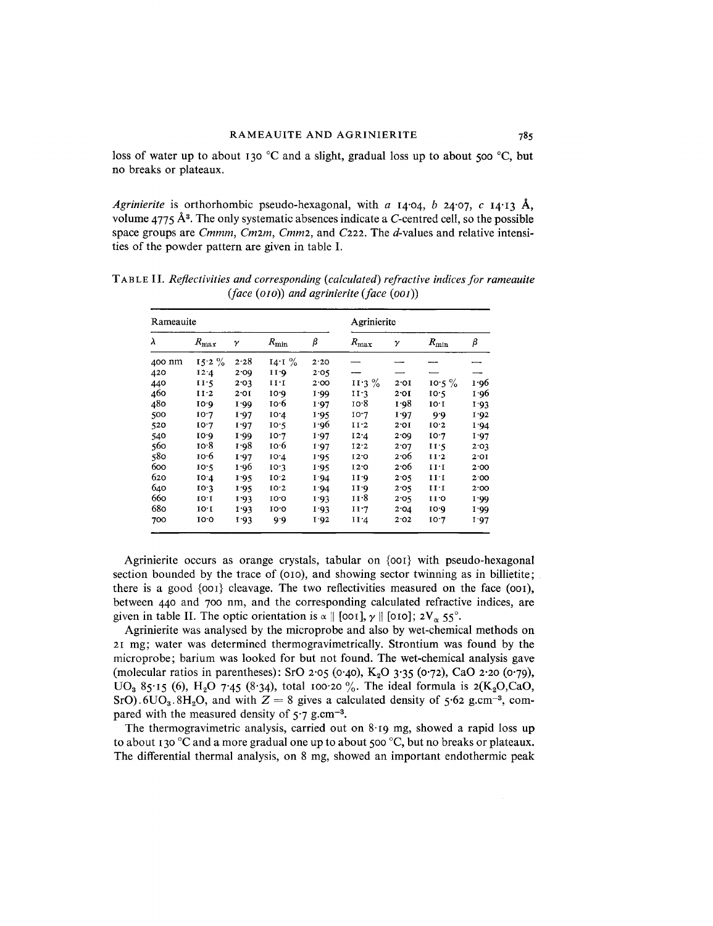loss of water up to about 130 °C and a slight, gradual loss up to about 500 °C, but no breaks or plateaux.

*Agrinierite* is orthorhombic pseudo-hexagonal, with a 14.04, b 24.07, c 14.13 Å, volume  $4775 \text{ Å}^3$ . The only systematic absences indicate a C-centred cell, so the possible space groups are Cmmm, Cm2m, Cmm2, and C222. The d-values and relative intensities of the powder pattern are given in table I.

| Rameauite |                 |      |               |      | Agrinierite   |      |               |      |  |  |
|-----------|-----------------|------|---------------|------|---------------|------|---------------|------|--|--|
| λ         | $R_{\rm max}$   | γ    | $R_{\rm min}$ | β    | $R_{\rm max}$ | γ    | $R_{\rm min}$ | β    |  |  |
| 400 nm    | $15.2 \%$       | 2.28 | $14.1\%$      | 2.20 |               |      |               |      |  |  |
| 420       | 12.4            | 2.09 | 11.9          | 2.05 |               |      |               |      |  |  |
| 440       | 11.5            | 2.03 | 11.1          | 2.00 | $11.3\%$      | 2.01 | $10.5 \%$     | 1.96 |  |  |
| 460       | II <sub>2</sub> | 2.01 | 10.0          | 1.99 | II.3          | 2.01 | 10.5          | 1.96 |  |  |
| 480       | 10.9            | 1.99 | 10.6          | 1.97 | 10.8          | 1.98 | 10.1          | 1.93 |  |  |
| 500       | 10.7            | I.97 | 10.4          | 1.95 | I0.7          | I.97 | 9.9           | I.92 |  |  |
| 520       | I0.7            | 1.97 | 10.5          | 1.96 | $11-2$        | 2.01 | IQ.2          | 1.94 |  |  |
| 540       | 10.9            | I.99 | 10.7          | I.97 | I2.4          | 2.09 | I0.7          | 1.97 |  |  |
| 560       | 10.8            | 1.98 | 10.6          | 1.97 | 12.2          | 2.07 | II.5          | 2.03 |  |  |
| 580       | 10.6            | I.97 | 10.4          | 1.95 | I2.0          | 2.06 | II.2          | 2.01 |  |  |
| 600       | 10.5            | 1.96 | 10.3          | 1.95 | 12.0          | 2.06 | 11.1          | 2.00 |  |  |
| 620       | 10.4            | 1.95 | IO.2          | I.94 | 11.9          | 2.05 | $11-1$        | 2.00 |  |  |
| 640       | 10.3            | 1.95 | 10.2          | 1.94 | 11.9          | 2.05 | $II^T$        | 2.00 |  |  |
| 660       | 10.1            | 1.93 | 10.0          | 1.93 | $11-8$        | 2.05 | 11.0          | 1.99 |  |  |
| 680       | 10.1            | 1.93 | 10.0          | I.93 | 11.7          | 2.04 | IQ.0          | 1.99 |  |  |
| 700       | 10.0            | 1.93 | 9.9           | I.92 | 11.4          | 2.02 | 10.7          | 1.97 |  |  |

TABLE II. Reflectivities and corresponding (calculated) refractive indices for rameauite  $(face(010))$  and agrinierite (face  $(001))$ 

Agrinierite occurs as orange crystals, tabular on {001} with pseudo-hexagonal section bounded by the trace of (010), and showing sector twinning as in billietite; there is a good {001} cleavage. The two reflectivities measured on the face (001), between 440 and 700 nm, and the corresponding calculated refractive indices, are given in table II. The optic orientation is  $\alpha \parallel$  [001],  $\gamma \parallel$  [010];  $2V_{\alpha} 55^{\circ}$ .

Agrinierite was analysed by the microprobe and also by wet-chemical methods on 21 mg; water was determined thermogravimetrically. Strontium was found by the microprobe; barium was looked for but not found. The wet-chemical analysis gave (molecular ratios in parentheses): SrO 2.05 (0.40), K<sub>2</sub>O 3.35 (0.72), CaO 2.20 (0.79), UO<sub>3</sub> 85.15 (6), H<sub>2</sub>O 7.45 (8.34), total 100.20%. The ideal formula is  $2(K_2O, CaO,$ SrO).6UO<sub>3</sub>.8H<sub>2</sub>O, and with  $Z = 8$  gives a calculated density of 5.62 g.cm<sup>-3</sup>, compared with the measured density of  $\zeta$  7 g.cm<sup>-3</sup>.

The thermogravimetric analysis, carried out on 8.19 mg, showed a rapid loss up to about 130 °C and a more gradual one up to about 500 °C, but no breaks or plateaux. The differential thermal analysis, on 8 mg, showed an important endothermic peak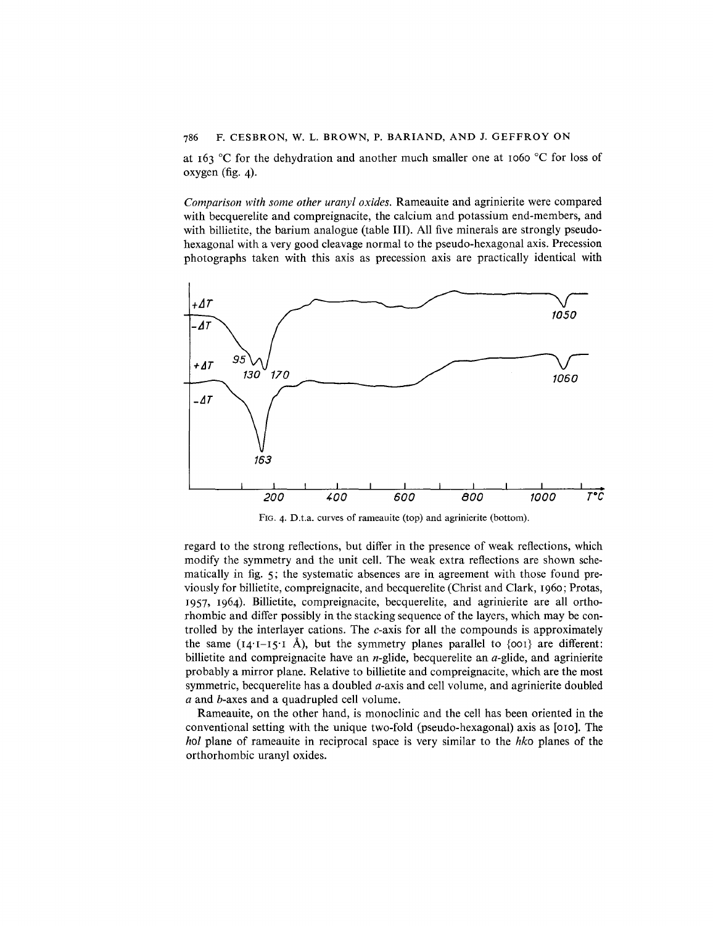#### 786 F. CESBRON, W. L. BROWN, P. BARIAND, AND J. GEFFROY ON

at 163°C for the dehydration and another much smaller one at 1060 °C for loss of oxygen (fig. 4).

*Comparison with some other uranyl oxides.* Rameauite and agrinierite were compared with becquerelite and compreignacite, the calcium and potassium end-members, and with billietite, the barium analogue (table III). All five minerals are strongly pseudohexagonal with a very good cleavage normal to the pseudo-hexagonal axis. Precession photographs taken with this axis as precession axis are practically identical with



FIG. 4. D.t.a. curves of rameauite (top) and agrinierite (bottom).

regard to the strong reflections, but differ in the presence of weak reflections, which modify the symmetry and the unit cell. The weak extra reflections are shown schematically in fig. 5; the systematic absences are in agreement with those found previously for billietite, compreignacite, and becquerelite (Christ and Clark, 1960; Protas, 1957, 1964). Billietite, compreignacite, becquerelite, and agrinierite are all orthorhombic and differ possibly in the stacking sequence of the layers, which may be controlled by the interlayer cations. The  $c$ -axis for all the compounds is approximately the same  $(14 \cdot 1 - 15 \cdot 1)$  A), but the symmetry planes parallel to  $\{001\}$  are different: billietite and compreignacite have an *n*-glide, becquerelite an  $a$ -glide, and agrinierite probably a mirror plane. Relative to billietite and compreignacite, which are the most symmetric, becquerelite has a doubled  $a$ -axis and cell volume, and agrinierite doubled *a* and *b*-axes and a quadrupled cell volume.

Rameauite, on the other hand, is monoclinic and the cell has been oriented in the conventional setting with the unique two-fold (pseudo-hexagonal) axis as [010]. The *hol* plane of rameauite in reciprocal space is very similar to the *hko* planes of the orthorhombic uranyl oxides.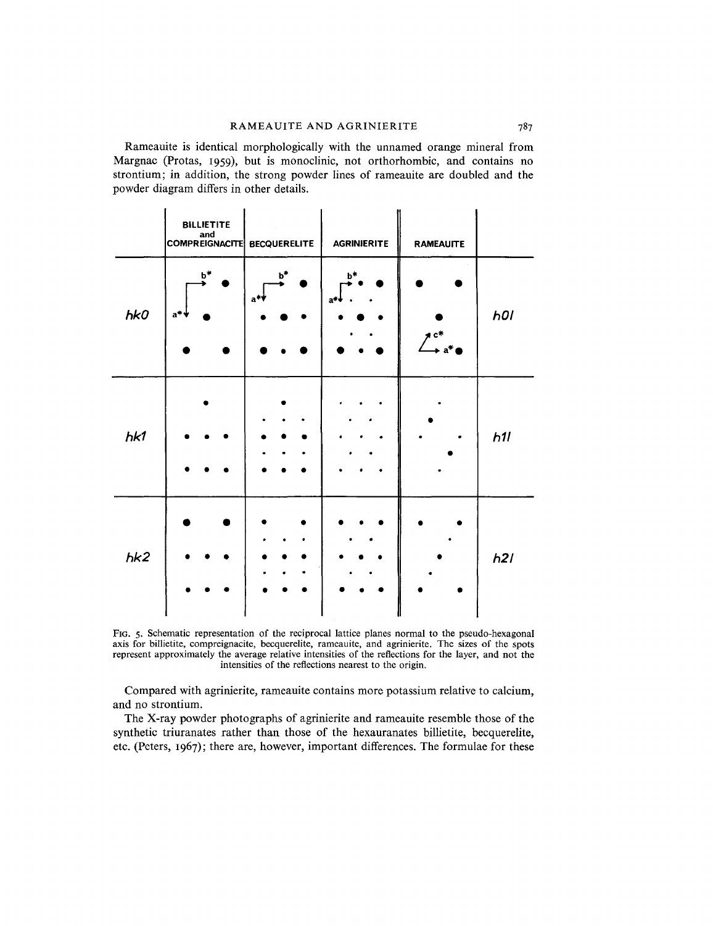Rameauite is identical morphologically with the unnamed orange mineral from Margnac (Protas, 1959), but is monoclinic, not orthorhombic, and contains no strontium; in addition, the strong powder lines of rameauite are doubled and the powder diagram differs in other details.

|     | <b>BILLIETITE</b><br>and<br>COMPREIGNACITE BECQUERELITE |                         | <b>AGRINIERITE</b> | <b>RAMEAUITE</b> |        |
|-----|---------------------------------------------------------|-------------------------|--------------------|------------------|--------|
| hkO | $b^*$<br>$a^*$                                          | $\mathbf{b}^*$<br>$a^*$ | $b*$<br>$a*$       | $1c*$<br>$a^*$   | $h$ Ol |
| hk1 |                                                         |                         |                    |                  | h1l    |
| hk2 |                                                         |                         |                    |                  | h21    |

Fig. 5. Schematic representation of the reciprocal lattice planes normal to the pseudo-hexagonal axis for billietite, compreignacite, becquerelite, rameauite, and agrinierite. The sizes of the spots represent approximately the average relative intensities of the reflections for the layer, and not the intensities of the reflections nearest to the origin.

Compared with agrinierite, rameauite contains more potassium relative to calcium, and no strontium.

The X-ray powder photographs of agrinierite and rameauite resemble those of the synthetic triuranates rather than those of the hexauranates billietite, becquerelite, etc. (Peters, 1967); there are, however, important differences. The formulae for these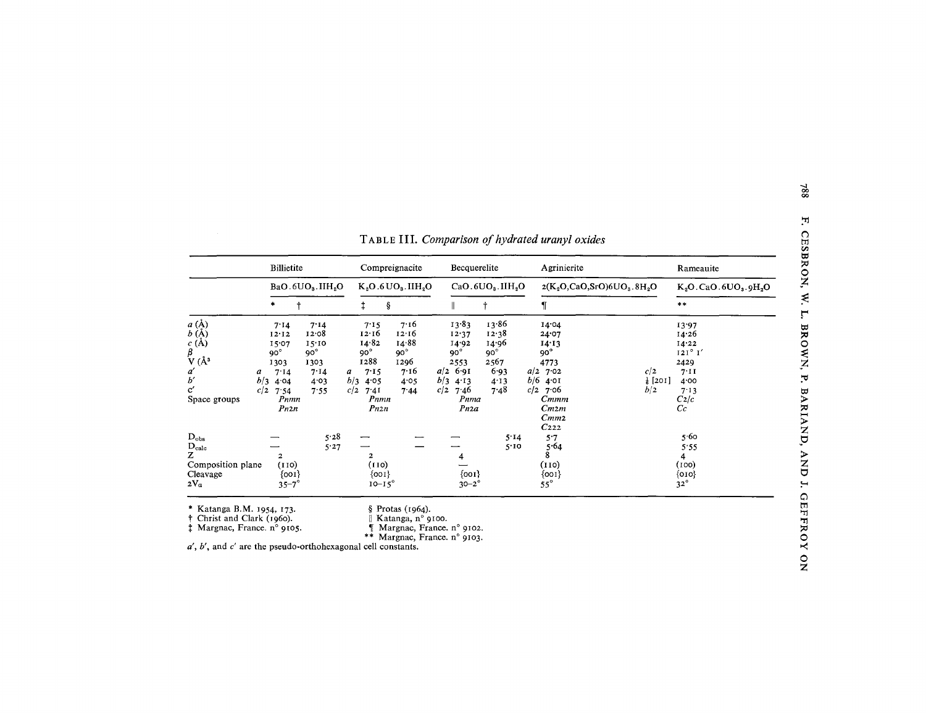|                                                                                   | <b>Billietite</b><br>BaO.6UO <sub>3</sub> . IIH <sub>2</sub> O |              |                      | Compreignacite  |                                           | Becquerelite     |            |  | Agrinierite<br>$2(K_2O, CaO, SrO)6UO_3.8H_2O$ |                     | Rameauite<br>$K_2O$ . CaO. 6UO <sub>3</sub> . 9H <sub>2</sub> O |  |
|-----------------------------------------------------------------------------------|----------------------------------------------------------------|--------------|----------------------|-----------------|-------------------------------------------|------------------|------------|--|-----------------------------------------------|---------------------|-----------------------------------------------------------------|--|
|                                                                                   |                                                                |              | $K_2O.6UO_3. IIH_2O$ |                 | CaO.6UO <sub>3</sub> . IIH <sub>2</sub> O |                  |            |  |                                               |                     |                                                                 |  |
|                                                                                   |                                                                |              | ‡.                   | ş               |                                           |                  |            |  |                                               |                     | $\star$ $\star$                                                 |  |
| a(A)                                                                              | 7.14                                                           | 7.14         | 7.15                 | 7.16            |                                           | 13.83            | 13.86      |  | 14.04                                         |                     | 13.97                                                           |  |
| b(A)                                                                              | 12.12                                                          | 12.08        | 12.16                | 12.16           |                                           | 12.37            | 12.38      |  | 24.07                                         |                     | 14.26                                                           |  |
| $\begin{array}{c} c(\mathbf{A}) \\ \beta \\ \mathbf{V}(\mathbf{A}^3) \end{array}$ | 15.07                                                          | 15:10        | 14.82                | 14.88           |                                           | 14.92            | 14.96      |  | 14.13                                         |                     | 14.22                                                           |  |
|                                                                                   | $90^{\circ}$                                                   | $90^{\circ}$ | $90^{\circ}$         | $90^{\circ}$    |                                           | $90^{\circ}$     | $90^\circ$ |  | $90^{\circ}$                                  |                     | $121^\circ$ $1'$                                                |  |
|                                                                                   | 1303                                                           | 1303         | 1288                 | 1296            |                                           | 2553             | 2567       |  | 4773                                          |                     | 2429                                                            |  |
| $a'$ <sub>b'</sub>                                                                | 7.14<br>a                                                      | 7.14         | 7.15<br>a            | 7.16            |                                           | $a/2$ 6.91       | 6.93       |  | $a/2$ 7.02                                    | c/2                 | 7:11                                                            |  |
|                                                                                   | b/3<br>4.04                                                    | 4.03         | $b/3$ 4.05           | 4.05            | b/3                                       | 4.13             | 4.13       |  | $b/6$ 4.01                                    | $\frac{1}{6}$ [201] | 4.00                                                            |  |
| $\mathbf{c}'$                                                                     | c/2<br>7.54                                                    | 7.55         | c/2<br>7.41          | 7.44            | c/2                                       | 7.46             | 7.48       |  | $c/2$ 7.06                                    | b/2                 | 7.13                                                            |  |
| Space groups                                                                      | Pnmn                                                           |              | Pnmn                 |                 |                                           | Pnma             |            |  | Cmmm                                          |                     | $C_2/c$                                                         |  |
|                                                                                   | Pn2n                                                           |              | Pn2n                 |                 |                                           | Pn <sub>2a</sub> |            |  | Cm2m                                          |                     | Cc                                                              |  |
|                                                                                   |                                                                |              |                      |                 |                                           |                  |            |  | Cmm2                                          |                     |                                                                 |  |
|                                                                                   |                                                                |              |                      |                 |                                           |                  |            |  | C222                                          |                     |                                                                 |  |
| $D_{\rm obs}$                                                                     |                                                                | 5.28         |                      |                 |                                           |                  | 5.14       |  | 5.7                                           |                     | 5.60                                                            |  |
| $D_{calc}$                                                                        |                                                                | 5.27         |                      |                 |                                           |                  | 5.10       |  | 5.64                                          |                     | 5.55                                                            |  |
| Z                                                                                 | $\mathbf{2}$                                                   |              | $\mathbf{z}$         |                 |                                           | 4                |            |  | 8                                             |                     | 4                                                               |  |
| Composition plane                                                                 | (110)                                                          |              | (011)                |                 |                                           |                  |            |  | (110)                                         |                     | (100)                                                           |  |
| Cleavage                                                                          | $\{001\}$                                                      |              | ${oo1}$              |                 |                                           | ${001}$          |            |  | ${oo1}$                                       |                     | $\{010\}$                                                       |  |
| $2V_a$                                                                            | $35 - 7^\circ$                                                 |              |                      | $10 - 15^\circ$ |                                           | $30 - 2^{\circ}$ |            |  | $55^\circ$                                    |                     | $32^\circ$                                                      |  |

§ Protas (1964)

|| Katanga, n° 9100.<br>¶ Margnac, France. n° 9102 \* Katanga B.M. 1954, 173. t Christ and Clark (1960). ~ Margnac, France. n° 9105.

\*\* Margnac, France. n° 9103. *a', b',* and c' are the pseudo-orthohexagonal cell constants.